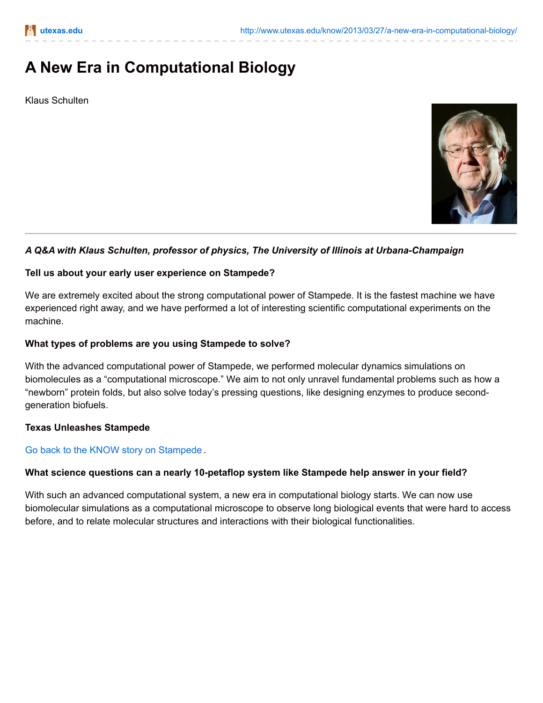# **A New Era in Computational Biology**

Klaus Schulten



# *A Q&A with Klaus Schulten, professor of physics, The University of Illinois at Urbana-Champaign*

## **Tell us about your early user experience on Stampede?**

We are extremely excited about the strong computational power of Stampede. It is the fastest machine we have experienced right away, and we have performed a lot of interesting scientific computational experiments on the machine.

## **What types of problems are you using Stampede to solve?**

With the advanced computational power of Stampede, we performed molecular dynamics simulations on biomolecules as a "computational microscope." We aim to not only unravel fundamental problems such as how a "newborn" protein folds, but also solve today's pressing questions, like designing enzymes to produce secondgeneration biofuels.

#### **Texas Unleashes Stampede**

# Go back to the KNOW story on [Stampede](http://www.utexas.edu/know/2013/03/27/texas-unleashes-stampede-for-science/) .

#### **What science questions can a nearly 10-petaflop system like Stampede help answer in your field?**

With such an advanced computational system, a new era in computational biology starts. We can now use biomolecular simulations as a computational microscope to observe long biological events that were hard to access before, and to relate molecular structures and interactions with their biological functionalities.